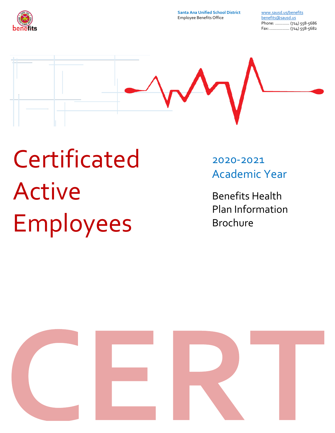

**Santa Ana Unified School District** Employee Benefits Office

[www.sausd.us/benefits](http://www.sausd.us/benefits) [benefits@sausd.us](mailto:benefits@sausd.us) Phone: ............ (714) 558-5686 Fax:................. (714) 558-5682



# Certificated Active Employees

2020-2021 Academic Year

Benefits Health Plan Information Brochure

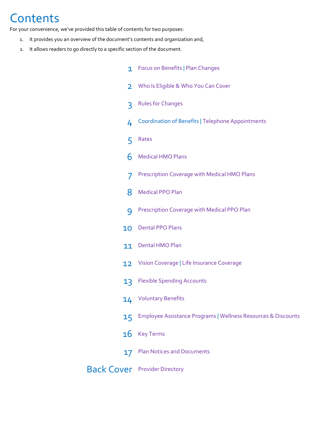## **Contents**

For your convenience, we've provided this table of contents for two purposes:

- 1. It provides you an overview of the document's contents and organization and,
- 2. It allows readers to go directly to a specific section of the document.

<span id="page-1-0"></span>

| 1              | Focus on Benefits   Plan Changes                              |
|----------------|---------------------------------------------------------------|
| $\overline{2}$ | Who Is Eligible & Who You Can Cover                           |
| 3              | <b>Rules for Changes</b>                                      |
| 4              | <b>Coordination of Benefits   Telephone Appointments</b>      |
| 5              | Rates                                                         |
| 6              | <b>Medical HMO Plans</b>                                      |
| 7              | Prescription Coverage with Medical HMO Plans                  |
| 8              | <b>Medical PPO Plan</b>                                       |
| 9              | Prescription Coverage with Medical PPO Plan                   |
| 10             | <b>Dental PPO Plans</b>                                       |
| 11             | <b>Dental HMO Plan</b>                                        |
| 12             | Vision Coverage   Life Insurance Coverage                     |
| 13             | <b>Flexible Spending Accounts</b>                             |
| 14             | <b>Voluntary Benefits</b>                                     |
| 15             | Employee Assistance Programs   Wellness Resources & Discounts |
| 16             | <b>Key Terms</b>                                              |
| 17             | <b>Plan Notices and Documents</b>                             |
|                | <b>Back Cover</b> Provider Directory                          |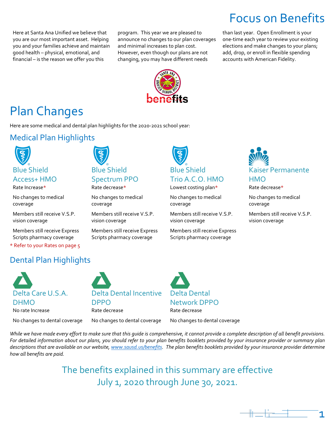Here at Santa Ana Unified we believe that you are our most important asset. Helping you and your families achieve and maintain good health – physical, emotional, and financial – is the reason we offer you this

program. This year we are pleased to announce no changes to our plan coverages and minimal increases to plan cost. However, even though our plans are not changing, you may have different needs

Focus on Benefits than last year. Open Enrollment is your one-time each year to review your existing elections and make changes to your plans;

add, drop, or enroll in flexible spending accounts with American Fidelity.



## Plan Changes

Here are some medical and dental plan highlights for the 2020-2021 school year:

## Medical Plan Highlights



### Access+ HMO Rate Increase\*

No changes to medical coverage

Members still receive V.S.P. vision coverage

Members still receive Express Scripts pharmacy coverage

\* Refer to your Rates on page 5

## Dental Plan Highlights



No changes to dental coverage

<span id="page-2-0"></span>

DPPO

Rate decrease

## Spectrum PPO Rate decrease\*

No changes to medical coverage

Members still receive V.S.P. vision coverage

Members still receive Express Scripts pharmacy coverage



Lowest costing plan\*

No changes to medical coverage

Members still receive V.S.P. vision coverage

Members still receive Express Scripts pharmacy coverage



Rate decrease\*

No changes to medical coverage

Members still receive V.S.P. vision coverage



No changes to dental coverage

Delta Dental Network DPPO Rate decrease

No changes to dental coverage

*While we have made every effort to make sure that this guide is comprehensive, it cannot provide a complete description of all benefit provisions. For detailed information about our plans, you should refer to your plan benefits booklets provided by your insurance provider or summary plan descriptions that are available on our website, [www.sausd.us/benefits.](https://www.sausd.us/benefits) The plan benefits booklets provided by your insurance provider determine how all benefits are paid.*

> The benefits explained in this summary are effective July 1, 2020 through June 30, 2021.

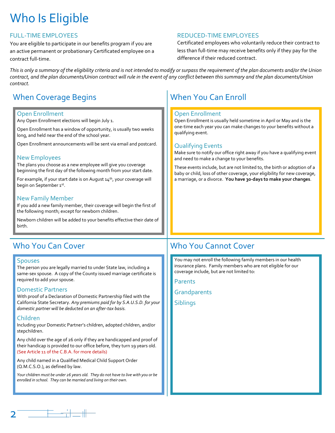## <span id="page-3-0"></span>Who Is Eligible

## FULL-TIME EMPLOYEES

You are eligible to participate in our benefits program if you are an active permanent or probationary Certificated employee on a contract full-time.

## REDUCED-TIME EMPLOYEES

Certificated employees who voluntarily reduce their contract to less than full-time may receive benefits only if they pay for the difference if their reduced contract.

*This is only a summary of the eligibility criteria and is not intended to modify or surpass the requirement of the plan documents and/or the Union contract, and the plan documents/Union contract will rule in the event of any conflict between this summary and the plan documents/Union contract.*

## When Coverage Begins November 2016 | When You Can Enroll

## Open Enrollment

Any Open Enrollment elections will begin July 1.

Open Enrollment has a window of opportunity, is usually two weeks long, and held near the end of the school year.

Open Enrollment announcements will be sent via email and postcard.

## New Employees

The plans you choose as a new employee will give you coverage beginning the first day of the following month from your start date.

For example, if your start date is on August  $14<sup>th</sup>$ , your coverage will begin on September 1st.

## New Family Member

If you add a new family member, their coverage will begin the first of the following month; except for newborn children.

Newborn children will be added to your benefits effective their date of birth.

### **Spouses**

The person you are legally married to under State law, including a same-sex spouse. A copy of the County issued marriage certificate is required to add your spouse.

### Domestic Partners

With proof of a Declaration of Domestic Partnership filed with the California State Secretary. *Any premiums paid for by S.A.U.S.D. for your domestic partner will be deducted on an after-tax basis.*

## Children

Including your Domestic Partner's children, adopted children, and/or stepchildren.

Any child over the age of 26 only if they are handicapped and proof of their handicap is provided to our office before, they turn 19 years old. (See Article 11 of the C.B.A. for more details)

Any child named in a Qualified Medical Child Support Order (Q.M.C.S.O.), as defined by law.

*Your children must be under 26 years old. They do not have to live with you or be enrolled in school. They can be married and living on their own.*

### Open Enrollment

Open Enrollment is usually held sometime in April or May and is the one-time each year you can make changes to your benefits without a qualifying event.

## Qualifying Events

Make sure to notify our office right away if you have a qualifying event and need to make a change to your benefits.

These events include, but are not limited to, the birth or adoption of a baby or child, loss of other coverage, your eligibility for new coverage, a marriage, or a divorce. **You have 30-days to make your changes**.

## Who You Can Cover Who You Cannot Cover

You may not enroll the following family members in our health insurance plans. Family members who are not eligible for our coverage include, but are not limited to:

Parents

**Grandparents** 

**Siblings** 

<span id="page-3-1"></span>2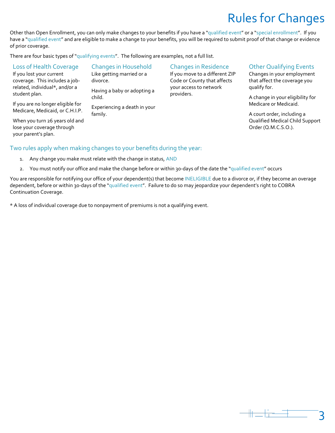## Rules for Changes

Other than Open Enrollment, you can only make changes to your benefits if you have a "qualified event" or a "special enrollment". If you have a "qualified event" and are eligible to make a change to your benefits, you will be required to submit proof of that change or evidence of prior coverage.

There are four basic types of "qualifying events". The following are examples, not a full list.

| Loss of Health Coverage                                              | <b>Changes in Household</b>           | <b>Changes in Residence</b>                                   | <b>Other Qualifying Events</b>                             |
|----------------------------------------------------------------------|---------------------------------------|---------------------------------------------------------------|------------------------------------------------------------|
| If you lost your current<br>coverage. This includes a job-           | Like getting married or a<br>divorce. | If you move to a different ZIP<br>Code or County that affects | Changes in your employment<br>that affect the coverage you |
| related, individual*, and/or a<br>student plan.                      | Having a baby or adopting a           | your access to network<br>providers.                          | qualify for.                                               |
|                                                                      | child.                                |                                                               | A change in your eligibility for<br>Medicare or Medicaid.  |
| If you are no longer eligible for<br>Medicare, Medicaid, or C.H.I.P. | Experiencing a death in your          |                                                               |                                                            |
|                                                                      | family.                               |                                                               | A court order, including a                                 |
| When you turn 26 years old and                                       |                                       |                                                               | Qualified Medical Child Support                            |
| lose your coverage through                                           |                                       |                                                               | Order (Q.M.C.S.O.).                                        |

## Two rules apply when making changes to your benefits during the year:

1. Any change you make must relate with the change in status, AND

your parent's plan.

2. You must notify our office and make the change before or within 30-days of the date the "qualified event" occurs

You are responsible for notifying our office of your dependent(s) that become INELIGIBLE due to a divorce or, if they become an overage dependent, before or within 30-days of the "qualified event". Failure to do so may jeopardize your dependent's right to COBRA Continuation Coverage.

\* A loss of individual coverage due to nonpayment of premiums is not a qualifying event.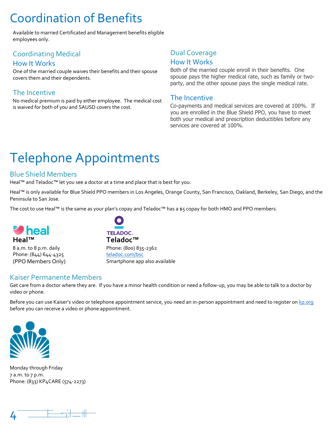## Coordination of Benefits

Available to married Certificated and Management benefits eligible employees only.

## Coordinating Medical

## How It Works

One of the married couple waives their benefits and their spouse covers them and their dependents.

## The Incentive

No medical premium is paid by either employee. The medical cost is waived for both of you and SAUSD covers the cost.

## <span id="page-5-0"></span>Dual Coverage How It Works

Both of the married couple enroll in their benefits. One spouse pays the higher medical rate, such as family or twoparty, and the other spouse pays the single medical rate.

## The Incentive

<span id="page-5-1"></span>Co-payments and medical services are covered at 100%. If you are enrolled in the Blue Shield PPO, you have to meet both your medical and prescription deductibles before any services are covered at 100%.

## Telephone Appointments

## Blue Shield Members

Heal™ and Teladoc™ let you see a doctor at a time and place that is best for you.

Heal™ is only available for Blue Shield PPO members in Los Angeles, Orange County, San Francisco, Oakland, Berkeley, San Diego, and the Peninsula to San Jose.

The cost to use Heal™ is the same as your plan's copay and Teladoc™ has a \$5 copay for both HMO and PPO members.



8 a.m. to 8 p.m. daily Phone: (844) 644-4325 (PPO Members Only)



Phone: (800) 835-2362 [teladoc.com/bsc](https://member.teladoc.com/bsc) Smartphone app also available

## Kaiser Permanente Members

Get care from a doctor where they are. If you have a minor health condition or need a follow-up, you may be able to talk to a doctor by video or phone.

Before you can use Kaiser's video or telephone appointment service, you need an in-person appointment and need to register o[n kp.org](https://healthy.kaiserpermanente.org/) before you can receive a video or phone appointment.



Monday through Friday 7 a.m. to 7 p.m. Phone: (833) KP4CARE (574-2273)

<span id="page-5-2"></span>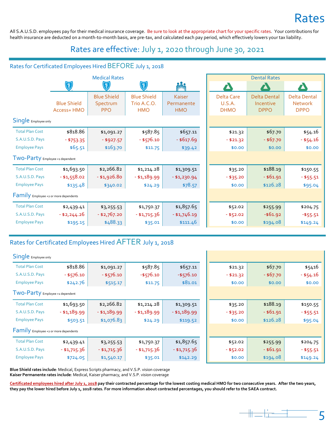## Rates

All S.A.U.S.D. employees pay for their medical insurance coverage. Be sure to look at the appropriate chart for your specific rates. Your contributions for health insurance are deducted on a month-to-month basis, are pre-tax, and calculated each pay period, which effectively lowers your tax liability.

## Rates are effective: July 1, 2020 through June 30, 2021

## Rates for Certificated Employees Hired BEFORE July 1, 2018

|                                       |                                   | <b>Medical Rates</b>                         |                                                 |                                    |                                            | <b>Dental Rates</b>                             |                                                      |
|---------------------------------------|-----------------------------------|----------------------------------------------|-------------------------------------------------|------------------------------------|--------------------------------------------|-------------------------------------------------|------------------------------------------------------|
|                                       | <u>(ई)</u>                        |                                              | $\widetilde{\mathcal{E}}$                       | <b>Sultz</b>                       |                                            |                                                 |                                                      |
|                                       | <b>Blue Shield</b><br>Access+ HMO | <b>Blue Shield</b><br>Spectrum<br><b>PPO</b> | <b>Blue Shield</b><br>Trio A.C.O.<br><b>HMO</b> | Kaiser<br>Permanente<br><b>HMO</b> | <b>Delta Care</b><br>U.S.A.<br><b>DHMO</b> | <b>Delta Dental</b><br>Incentive<br><b>DPPO</b> | <b>Delta Dental</b><br><b>Network</b><br><b>DPPO</b> |
| Single Employee only                  |                                   |                                              |                                                 |                                    |                                            |                                                 |                                                      |
| <b>Total Plan Cost</b>                | \$818.86                          | \$1,091.27                                   | \$587.85                                        | \$657.11                           | \$21.32                                    | \$67.70                                         | \$54.16                                              |
| S.A.U.S.D. Pays                       | $- $753.35$                       | $-$ \$927.57                                 | $-$ \$576.10                                    | $-$ \$617.69                       | $- $21.32$                                 | $-$ \$67.70                                     | $-$ \$54.16                                          |
| <b>Employee Pays</b>                  | \$65.51                           | \$163.70                                     | \$11.75                                         | \$39.42                            | \$0.00                                     | \$0.00                                          | \$0.00                                               |
| TWO-Party Employee +1 dependent       |                                   |                                              |                                                 |                                    |                                            |                                                 |                                                      |
| <b>Total Plan Cost</b>                | \$1,693.50                        | \$2,266.82                                   | \$1,214.28                                      | \$1,309.51                         | \$35.20                                    | \$188.19                                        | \$150.55                                             |
| S.A.U.S.D. Pays                       | $- $1,558.02$                     | $- $1,926.80$                                | $- $1,189.99$                                   | $- $1,230.94$                      | $- $35.20$                                 | $-$ \$61.91                                     | $- $55.51$                                           |
| <b>Employee Pays</b>                  | \$135.48                          | \$340.02                                     | \$24.29                                         | \$78.57                            | \$0.00                                     | \$126.28                                        | \$95.04                                              |
| Family Employee +2 or more dependents |                                   |                                              |                                                 |                                    |                                            |                                                 |                                                      |
| <b>Total Plan Cost</b>                | \$2,439.41                        | \$3,255.53                                   | \$1,750.37                                      | \$1,857.65                         | \$52.02                                    | \$255.99                                        | \$204.75                                             |
| S.A.U.S.D. Pays                       | $-$ \$2,244.26                    | - \$2,767.20                                 | - \$1,715.36                                    | $- $1,746.19$                      | $- $52.02$                                 | $- $61.92$                                      | $- $55.51$                                           |
| <b>Employee Pays</b>                  | \$195.15                          | \$488.33                                     | \$35.01                                         | \$111.46                           | \$0.00                                     | \$194.08                                        | \$149.24                                             |

## Rates for Certificated Employees Hired AFTER July 1, 2018

| Single Employee only                  |                |               |               |               |            |             |             |
|---------------------------------------|----------------|---------------|---------------|---------------|------------|-------------|-------------|
| <b>Total Plan Cost</b>                | \$818.86       | \$1,091.27    | \$587.85      | \$657.11      | \$21.32    | \$67.70     | \$5416      |
| S.A.U.S.D. Pays                       | $-$ \$576.10   | $-$ \$576.10  | $-$ \$576.10  | $-$ \$576.10  | $- $21.32$ | $-$ \$67.70 | $- $54.16$  |
| <b>Employee Pays</b>                  | \$242.76       | \$515.17      | \$11.75       | \$81.01       | \$0.00     | \$0.00      | \$0.00      |
| TWO-Party Employee +1 dependent       |                |               |               |               |            |             |             |
| <b>Total Plan Cost</b>                | \$1,693.50     | \$2,266.82    | \$1,214.28    | \$1,309.51    | \$35.20    | \$188.19    | \$150.55    |
| S.A.U.S.D. Pays                       | $- $1,189.99$  | $- $1,189.99$ | $- $1,189.99$ | $- $1,189.99$ | $- $35.20$ | $-$ \$61.91 | $-$ \$55.51 |
| <b>Employee Pays</b>                  | \$503.51       | \$1,076.83    | \$24.29       | \$119.52      | \$0.00     | \$126.28    | \$95.04     |
| Family Employee +2 or more dependents |                |               |               |               |            |             |             |
| <b>Total Plan Cost</b>                | \$2,439.41     | \$3,255.53    | \$1,750.37    | \$1,857.65    | \$52.02    | \$255.99    | \$204.75    |
| S.A.U.S.D. Pays                       | $-$ \$1,715.36 | $- $1,715.36$ | $- $1,715.36$ | $- $1,715.36$ | $- $52.02$ | $-$ \$61.91 | $-$ \$55.51 |
| <b>Employee Pays</b>                  | \$724.05       | \$1,540.17    | \$35.01       | \$142.29      | \$0.00     | \$194.08    | \$149.24    |

**Blue Shield rates include**: Medical, Express Scripts pharmacy, and V.S.P. vision coverage **Kaiser Permanente rates include**: Medical, Kaiser pharmacy, and V.S.P. vision coverage

**Certificated employees hired after July 1, 2018 pay their contracted percentage for the lowest costing medical HMO for two consecutive years. After the two years, they pay the lower hired before July 1, 2018 rates. For more information about contracted percentages, you should refer to the SAEA contract.**

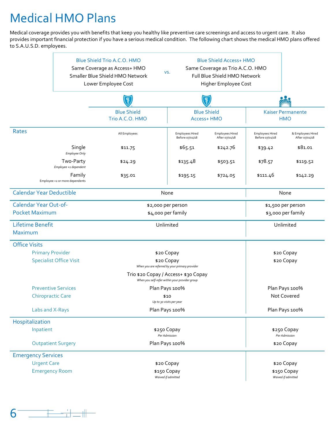## <span id="page-7-0"></span>Medical HMO Plans

Medical coverage provides you with benefits that keep you healthy like preventive care screenings and access to urgent care. It also provides important financial protection if you have a serious medical condition. The following chart shows the medical HMO plans offered to S.A.U.S.D. employees.

|                                                           |                                          | Blue Shield Trio A.C.O. HMO<br>Same Coverage as Access+ HMO<br>Smaller Blue Shield HMO Network<br>Lower Employee Cost | VS.                                                                                    | <b>Blue Shield Access+ HMO</b><br>Same Coverage as Trio A.C.O. HMO<br>Full Blue Shield HMO Network<br>Higher Employee Cost |                                           |                                        |  |
|-----------------------------------------------------------|------------------------------------------|-----------------------------------------------------------------------------------------------------------------------|----------------------------------------------------------------------------------------|----------------------------------------------------------------------------------------------------------------------------|-------------------------------------------|----------------------------------------|--|
|                                                           |                                          |                                                                                                                       |                                                                                        | $\frac{8}{3}$                                                                                                              |                                           |                                        |  |
|                                                           |                                          | <b>Blue Shield</b><br>Trio A.C.O. HMO                                                                                 |                                                                                        | <b>Blue Shield</b><br>Access+ HMO                                                                                          |                                           | <b>Kaiser Permanente</b><br><b>HMO</b> |  |
| Rates                                                     |                                          | All Employees                                                                                                         | <b>Employees Hired</b><br>Before 07/01/18                                              | <b>Employees Hired</b><br>After 07/01/18                                                                                   | <b>Employees Hired</b><br>Before 07/01/18 | & Employees Hired<br>After 07/01/18    |  |
|                                                           | Single<br><b>Employee Only</b>           | \$11.75                                                                                                               | \$65.51                                                                                | \$242.76                                                                                                                   | \$39.42                                   | \$81.01                                |  |
|                                                           | Two-Party<br>Employee +1 dependent       | \$24.29                                                                                                               | \$135.48                                                                               | \$503.51                                                                                                                   | \$78.57                                   | \$119.52                               |  |
|                                                           | Family<br>Employee +2 or more dependents | \$35.01                                                                                                               | \$195.15                                                                               | \$724.05                                                                                                                   | \$111.46                                  | \$142.29                               |  |
| <b>Calendar Year Deductible</b>                           |                                          |                                                                                                                       | None                                                                                   |                                                                                                                            |                                           | None                                   |  |
| <b>Calendar Year Out-of-</b><br><b>Pocket Maximum</b>     |                                          | \$2,000 per person<br>\$4,000 per family                                                                              |                                                                                        | \$1,500 per person<br>\$3,000 per family                                                                                   |                                           |                                        |  |
| Lifetime Benefit<br>Maximum                               |                                          | Unlimited                                                                                                             |                                                                                        |                                                                                                                            | Unlimited                                 |                                        |  |
| <b>Office Visits</b>                                      |                                          |                                                                                                                       |                                                                                        |                                                                                                                            |                                           |                                        |  |
| <b>Primary Provider</b><br><b>Specialist Office Visit</b> |                                          | \$20 Copay<br>\$20 Copay<br>When you are referred by your primary provider                                            |                                                                                        |                                                                                                                            | \$20 Copay<br>\$20 Copay                  |                                        |  |
|                                                           |                                          |                                                                                                                       | Trio \$20 Copay / Access+ \$30 Copay<br>When you self-refer within your provider group |                                                                                                                            |                                           |                                        |  |
|                                                           | <b>Preventive Services</b>               |                                                                                                                       | Plan Pays 100%                                                                         |                                                                                                                            |                                           | Plan Pays 100%                         |  |
| <b>Chiropractic Care</b>                                  |                                          | \$10<br>Up to 30 visits per year                                                                                      |                                                                                        | Not Covered                                                                                                                |                                           |                                        |  |
| Labs and X-Rays                                           |                                          | Plan Pays 100%                                                                                                        |                                                                                        | Plan Pays 100%                                                                                                             |                                           |                                        |  |
| Hospitalization                                           |                                          |                                                                                                                       |                                                                                        |                                                                                                                            |                                           |                                        |  |
| Inpatient                                                 |                                          |                                                                                                                       | \$250 Copay<br>Per Admission                                                           |                                                                                                                            |                                           | \$250 Copay<br>Per Admission           |  |
| <b>Outpatient Surgery</b>                                 |                                          |                                                                                                                       | Plan Pays 100%                                                                         |                                                                                                                            |                                           | \$20 Copay                             |  |
| <b>Emergency Services</b>                                 |                                          |                                                                                                                       |                                                                                        |                                                                                                                            |                                           |                                        |  |
| <b>Urgent Care</b>                                        |                                          |                                                                                                                       | \$20 Copay                                                                             |                                                                                                                            | \$20 Copay                                |                                        |  |
|                                                           | <b>Emergency Room</b>                    |                                                                                                                       | \$150 Copay<br>Waived if admitted                                                      |                                                                                                                            | \$150 Copay<br>Waived if admitted         |                                        |  |

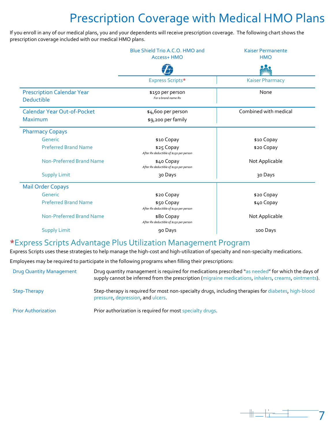## <span id="page-8-0"></span>Prescription Coverage with Medical HMO Plans

If you enroll in any of our medical plans, you and your dependents will receive prescription coverage. The following chart shows the prescription coverage included with our medical HMO plans.

|                                                                                   | Blue Shield Trio A.C.O. HMO and<br>Access+ HMO        | <b>Kaiser Permanente</b><br><b>HMO</b> |  |
|-----------------------------------------------------------------------------------|-------------------------------------------------------|----------------------------------------|--|
|                                                                                   |                                                       |                                        |  |
|                                                                                   | Express Scripts*                                      | <b>Kaiser Pharmacy</b>                 |  |
| <b>Prescription Calendar Year</b><br>Deductible                                   | \$150 per person<br>For a brand name Rx               | None                                   |  |
| <b>Calendar Year Out-of-Pocket</b>                                                | \$4,600 per person                                    | Combined with medical                  |  |
| Maximum                                                                           | \$9,200 per family                                    |                                        |  |
| <b>Pharmacy Copays</b>                                                            |                                                       |                                        |  |
| Generic                                                                           | \$10 Copay                                            | \$10 Copay                             |  |
| <b>Preferred Brand Name</b>                                                       | \$25 Copay<br>After Rx deductible of \$150 per person | \$20 Copay                             |  |
| Non-Preferred Brand Name                                                          | \$40 Copay<br>After Rx deductible of \$150 per person | Not Applicable                         |  |
| <b>Supply Limit</b>                                                               | 30 Days                                               | 30 Days                                |  |
| <b>Mail Order Copays</b>                                                          |                                                       |                                        |  |
| Generic                                                                           | \$20 Copay                                            | \$20 Copay                             |  |
| <b>Preferred Brand Name</b>                                                       | \$50 Copay<br>After Rx deductible of \$150 per person | \$40 Copay                             |  |
| Non-Preferred Brand Name<br>\$80 Copay<br>After Rx deductible of \$150 per person |                                                       | Not Applicable                         |  |
| <b>Supply Limit</b>                                                               | 90 Days                                               | 100 Days                               |  |

## \*Express Scripts Advantage Plus Utilization Management Program

Express Scripts uses these strategies to help manage the high-cost and high-utilization of specialty and non-specialty medications.

Employees may be required to participate in the following programs when filling their prescriptions:

| <b>Drug Quantity Management</b> | Drug quantity management is required for medications prescribed "as needed" for which the days of<br>supply cannot be inferred from the prescription (migraine medications, inhalers, creams, ointments). |
|---------------------------------|-----------------------------------------------------------------------------------------------------------------------------------------------------------------------------------------------------------|
| Step-Therapy                    | Step-therapy is required for most non-specialty drugs, including therapies for diabetes, high-blood<br>pressure, depression, and ulcers.                                                                  |
| <b>Prior Authorization</b>      | Prior authorization is required for most specialty drugs.                                                                                                                                                 |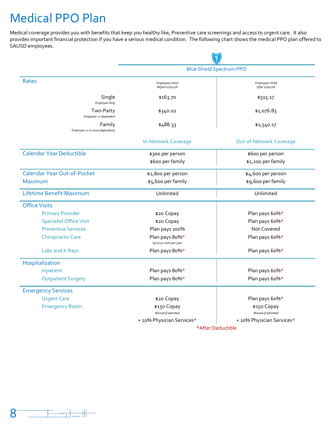## <span id="page-9-0"></span>Medical PPO Plan

Medical coverage provides you with benefits that keep you healthy like, Preventive care screenings and access to urgent care. It also provides important financial protection if you have a serious medical condition. The following chart shows the medical PPO plan offered to SAUSD employees.

|                                          | g                                          |                                          |  |
|------------------------------------------|--------------------------------------------|------------------------------------------|--|
|                                          |                                            | <b>Blue Shield Spectrum PPO</b>          |  |
| <b>Rates</b>                             | <b>Employees Hired</b><br>Before 07/01/18  | <b>Employees Hired</b><br>After 07/01/18 |  |
| Single<br>Employee Only                  | \$163.70                                   | \$515.17                                 |  |
| Two-Party<br>Employee +1 dependent       | \$340.02                                   | \$1,076.83                               |  |
| Family<br>Employee +2 or more dependents | \$488.33                                   | \$1,540.17                               |  |
|                                          | <b>In-Network Coverage</b>                 | <b>Out-of-Network Coverage</b>           |  |
| <b>Calendar Year Deductible</b>          | \$300 per person                           | \$600 per person                         |  |
|                                          | \$600 per family                           | \$1,200 per family                       |  |
| <b>Calendar Year Out-of-Pocket</b>       | \$2,800 per person                         | \$4,600 per person                       |  |
| Maximum                                  | \$5,600 per family                         | \$9,600 per family                       |  |
| Lifetime Benefit Maximum                 | Unlimited                                  | Unlimited                                |  |
| <b>Office Visits</b>                     |                                            |                                          |  |
| <b>Primary Provider</b>                  | \$20 Copay                                 | Plan pays 60%*                           |  |
| <b>Specialist Office Visit</b>           | \$20 Copay                                 | Plan pays 60%*                           |  |
| <b>Preventive Services</b>               | Plan pays 100%                             | Not Covered                              |  |
| <b>Chiropractic Care</b>                 | Plan pays 80%*<br>Up to 50 visits per year | Plan pays 60%*                           |  |
| Labs and X-Rays                          | Plan pays 80%*                             | Plan pays 60%*                           |  |
| Hospitalization                          |                                            |                                          |  |
| Inpatient                                | Plan pays 80%*                             | Plan pays 60%*                           |  |
| <b>Outpatient Surgery</b>                | Plan pays 80%*                             | Plan pays 60%*                           |  |
| <b>Emergency Services</b>                |                                            |                                          |  |
| <b>Urgent Care</b>                       | \$20 Copay                                 | Plan pays 60%*                           |  |
| <b>Emergency Room</b>                    | \$150 Copay<br>Waived if admitted          | \$150 Copay<br>Waived if admitted        |  |
|                                          | + 10% Physician Services*                  | + 10% Physician Services*                |  |
|                                          |                                            | *After Deductible                        |  |

<span id="page-9-1"></span>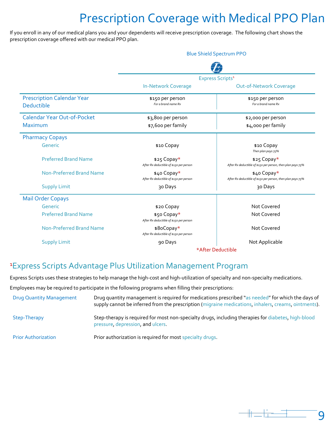## Prescription Coverage with Medical PPO Plan

If you enroll in any of our medical plans you and your dependents will receive prescription coverage. The following chart shows the prescription coverage offered with our medical PPO plan.

|                                                 | <b>Blue Shield Spectrum PPO</b>                        |                                                                            |  |
|-------------------------------------------------|--------------------------------------------------------|----------------------------------------------------------------------------|--|
|                                                 |                                                        |                                                                            |  |
|                                                 |                                                        | Express Scripts <sup>1</sup>                                               |  |
|                                                 | <b>In-Network Coverage</b>                             | <b>Out-of-Network Coverage</b>                                             |  |
| <b>Prescription Calendar Year</b><br>Deductible | \$150 per person<br>For a brand name Rx                | \$150 per person<br>For a brand name Rx                                    |  |
| <b>Calendar Year Out-of-Pocket</b>              | \$3,800 per person                                     | \$2,000 per person                                                         |  |
| <b>Maximum</b>                                  | \$7,600 per family                                     | \$4,000 per family                                                         |  |
| <b>Pharmacy Copays</b>                          |                                                        |                                                                            |  |
| Generic                                         | \$10 Copay                                             | \$10 Copay<br>Then plan pays 75%                                           |  |
| <b>Preferred Brand Name</b>                     | \$25 Copay*<br>After Rx deductible of \$150 per person | \$25 Copay*<br>After Rx deductible of \$150 per person, then plan pays 75% |  |
| Non-Preferred Brand Name                        | \$40 Copay*<br>After Rx deductible of \$150 per person | \$40 Copay*<br>After Rx deductible of \$150 per person, then plan pays 75% |  |
| <b>Supply Limit</b>                             | 30 Days                                                | 30 Days                                                                    |  |
| <b>Mail Order Copays</b>                        |                                                        |                                                                            |  |
| Generic                                         | \$20 Copay                                             | Not Covered                                                                |  |
| <b>Preferred Brand Name</b>                     | \$50 Copay*<br>After Rx deductible of \$150 per person | Not Covered                                                                |  |
| Non-Preferred Brand Name                        | \$8oCopay*<br>After Rx deductible of \$150 per person  | Not Covered                                                                |  |
| <b>Supply Limit</b>                             | 90 Days                                                | Not Applicable                                                             |  |
|                                                 |                                                        | *After Deductible                                                          |  |

## 1 Express Scripts Advantage Plus Utilization Management Program

Express Scripts uses these strategies to help manage the high-cost and high-utilization of specialty and non-specialty medications.

Employees may be required to participate in the following programs when filling their prescriptions:

| <b>Drug Quantity Management</b> | Drug quantity management is required for medications prescribed "as needed" for which the days of<br>supply cannot be inferred from the prescription (migraine medications, inhalers, creams, ointments). |
|---------------------------------|-----------------------------------------------------------------------------------------------------------------------------------------------------------------------------------------------------------|
| Step-Therapy                    | Step-therapy is required for most non-specialty drugs, including therapies for diabetes, high-blood<br>pressure, depression, and ulcers.                                                                  |
| <b>Prior Authorization</b>      | Prior authorization is required for most specialty drugs.                                                                                                                                                 |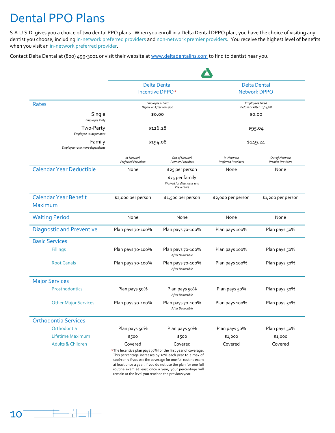## <span id="page-11-0"></span>Dental PPO Plans

S.A.U.S.D. gives you a choice of two dental PPO plans. When you enroll in a Delta Dental DPPO plan, you have the choice of visiting any dentist you choose, including in-network preferred providers and non-network premier providers. You receive the highest level of benefits when you visit an in-network preferred provider.

Contact Delta Dental at (800) 499-3001 or visit their website a[t www.deltadentalins.com](https://www.deltadentalins.com/) to find to dentist near you.

|                                                |                                          | <b>Delta Dental</b>                                                                                                                                                                                                                                               |                                          | <b>Delta Dental</b>                                |  |
|------------------------------------------------|------------------------------------------|-------------------------------------------------------------------------------------------------------------------------------------------------------------------------------------------------------------------------------------------------------------------|------------------------------------------|----------------------------------------------------|--|
|                                                |                                          | Incentive DPPO*                                                                                                                                                                                                                                                   | <b>Network DPPO</b>                      |                                                    |  |
| Rates                                          |                                          | <b>Employees Hired</b><br>Before or After 10/14/08                                                                                                                                                                                                                |                                          | <b>Employees Hired</b><br>Before or After 10/14/08 |  |
| Single<br>Employee Only                        |                                          | \$0.00                                                                                                                                                                                                                                                            | \$0.00                                   |                                                    |  |
| Two-Party<br>Employee +1 dependent             |                                          | \$126.28                                                                                                                                                                                                                                                          |                                          | \$95.04                                            |  |
| Family<br>Employee +2 or more dependents       |                                          | \$194.08                                                                                                                                                                                                                                                          |                                          | \$149.24                                           |  |
|                                                | In-Network<br><b>Preferred Providers</b> | Out of Network<br><b>Premier Providers</b>                                                                                                                                                                                                                        | In-Network<br><b>Preferred Providers</b> | Out of Network<br><b>Premier Providers</b>         |  |
| <b>Calendar Year Deductible</b>                | None                                     | \$25 per person<br>\$75 per family<br>Waived for diagnostic and<br>Preventive                                                                                                                                                                                     | None                                     | None                                               |  |
| <b>Calendar Year Benefit</b><br><b>Maximum</b> | \$2,000 per person                       | \$1,500 per person                                                                                                                                                                                                                                                | \$2,000 per person                       | \$1,200 per person                                 |  |
| <b>Waiting Period</b>                          | None                                     | None                                                                                                                                                                                                                                                              | None                                     | None                                               |  |
| <b>Diagnostic and Preventive</b>               | Plan pays 70-100%                        | Plan pays 70-100%                                                                                                                                                                                                                                                 | Plan pays 100%                           | Plan pays 50%                                      |  |
| <b>Basic Services</b>                          |                                          |                                                                                                                                                                                                                                                                   |                                          |                                                    |  |
| Fillings                                       | Plan pays 70-100%                        | Plan pays 70-100%<br>After Deductible                                                                                                                                                                                                                             | Plan pays 100%                           | Plan pays 50%                                      |  |
| <b>Root Canals</b>                             | Plan pays 70-100%                        | Plan pays 70-100%<br>After Deductible                                                                                                                                                                                                                             | Plan pays 100%                           | Plan pays 50%                                      |  |
| <b>Major Services</b>                          |                                          |                                                                                                                                                                                                                                                                   |                                          |                                                    |  |
| Prosthodontics                                 | Plan pays 50%                            | Plan pays 50%<br>After Deductible                                                                                                                                                                                                                                 | Plan pays 50%                            | Plan pays 50%                                      |  |
| <b>Other Major Services</b>                    | Plan pays 70-100%                        | Plan pays 70-100%<br>After Deductible                                                                                                                                                                                                                             | Plan pays 100%                           | Plan pays 50%                                      |  |
| <b>Orthodontia Services</b>                    |                                          |                                                                                                                                                                                                                                                                   |                                          |                                                    |  |
| Orthodontia                                    | Plan pays 50%                            | Plan pays 50%                                                                                                                                                                                                                                                     | Plan pays 50%                            | Plan pays 50%                                      |  |
| Lifetime Maximum                               | \$500                                    | \$500                                                                                                                                                                                                                                                             | \$1,000                                  | \$1,000                                            |  |
| <b>Adults &amp; Children</b>                   | Covered                                  | Covered<br>*The Incentive plan pays 70% for the first year of coverage.<br>This percentage increases by 10% each year to a max of<br>100% only if you use the coverage for one full routine exam<br>at least once a year. If you do not use the plan for one full | Covered                                  | Covered                                            |  |

routine exam at least once a year, your percentage will remain at the level you reached the previous year.

<span id="page-11-1"></span>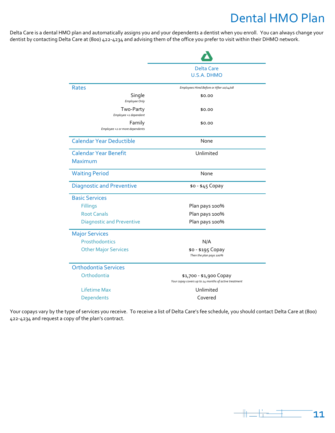## Dental HMO Plan

Delta Care is a dental HMO plan and automatically assigns you and your dependents a dentist when you enroll. You can always change your dentist by contacting Delta Care at (800) 422-4234 and advising them of the office you prefer to visit within their DHMO network.

|                                          | Delta Care                                                                       |
|------------------------------------------|----------------------------------------------------------------------------------|
|                                          | <b>U.S.A. DHMO</b>                                                               |
| Rates                                    | Employees Hired Before or After 10/14/08                                         |
| Single<br>Employee Only                  | \$0.00                                                                           |
| Two-Party<br>Employee +1 dependent       | \$0.00                                                                           |
| Family<br>Employee +2 or more dependents | \$0.00                                                                           |
| <b>Calendar Year Deductible</b>          | None                                                                             |
| <b>Calendar Year Benefit</b><br>Maximum  | Unlimited                                                                        |
| <b>Waiting Period</b>                    | None                                                                             |
| <b>Diagnostic and Preventive</b>         | \$0 - \$45 Copay                                                                 |
| <b>Basic Services</b>                    |                                                                                  |
| <b>Fillings</b>                          | Plan pays 100%                                                                   |
| <b>Root Canals</b>                       | Plan pays 100%                                                                   |
| <b>Diagnostic and Preventive</b>         | Plan pays 100%                                                                   |
| <b>Major Services</b>                    |                                                                                  |
| Prosthodontics                           | N/A                                                                              |
| <b>Other Major Services</b>              | \$0 - \$195 Copay<br>Then the plan pays 100%                                     |
| <b>Orthodontia Services</b>              |                                                                                  |
| Orthodontia                              | \$1,700 - \$1,900 Copay<br>Your copay covers up to 24 months of active treatment |
| Lifetime Max                             | Unlimited                                                                        |
| Dependents                               | Covered                                                                          |

Your copays vary by the type of services you receive. To receive a list of Delta Care's fee schedule, you should contact Delta Care at (800) 422-4234 and request a copy of the plan's contract.

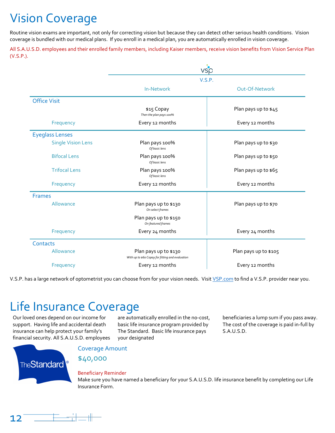## <span id="page-13-0"></span>Vision Coverage

Routine vision exams are important, not only for correcting vision but because they can detect other serious health conditions. Vision coverage is bundled with our medical plans. If you enroll in a medical plan, you are automatically enrolled in vision coverage.

All S.A.U.S.D. employees and their enrolled family members, including Kaiser members, receive vision benefits from Vision Service Plan (V.S.P.).

|                           | vsp<br>V.S.P.                                                             |                       |
|---------------------------|---------------------------------------------------------------------------|-----------------------|
|                           |                                                                           |                       |
|                           | <b>In-Network</b>                                                         | Out-Of-Network        |
| <b>Office Visit</b>       |                                                                           |                       |
|                           | \$15 Copay<br>Then the plan pays 100%                                     | Plan pays up to \$45  |
| Frequency                 | Every 12 months                                                           | Every 12 months       |
| <b>Eyeglass Lenses</b>    |                                                                           |                       |
| <b>Single Vision Lens</b> | Plan pays 100%<br>Of basic lens                                           | Plan pays up to \$30  |
| <b>Bifocal Lens</b>       | Plan pays 100%<br>Of basic lens                                           | Plan pays up to \$50  |
| <b>Trifocal Lens</b>      | Plan pays 100%<br>Of basic lens                                           | Plan pays up to \$65  |
| Frequency                 | Every 12 months                                                           | Every 12 months       |
| <b>Frames</b>             |                                                                           |                       |
| Allowance                 | Plan pays up to \$130<br>On select frames                                 | Plan pays up to \$70  |
|                           | Plan pays up to \$150<br>On featured frames                               |                       |
| Frequency                 | Every 24 months                                                           | Every 24 months       |
| Contacts                  |                                                                           |                       |
| Allowance                 | Plan pays up to \$130<br>With up to \$60 Copay for fitting and evaluation | Plan pays up to \$105 |
| Frequency                 | Every 12 months                                                           | Every 12 months       |

V.S.P. has a large network of optometrist you can choose from for your vision needs. Visit [VSP.com](https://vsp.com/) to find a V.S.P. provider near you.

## Life Insurance Coverage

Our loved ones depend on our income for support. Having life and accidental death insurance can help protect your family's financial security. All S.A.U.S.D. employees <span id="page-13-1"></span>are automatically enrolled in the no-cost, basic life insurance program provided by The Standard. Basic life insurance pays your designated

beneficiaries a lump sum if you pass away. The cost of the coverage is paid in-full by S.A.U.S.D.



Coverage Amount

\$40,000

### Beneficiary Reminder

Make sure you have named a beneficiary for your S.A.U.S.D. life insurance benefit by completing our Life Insurance Form.

<span id="page-13-2"></span>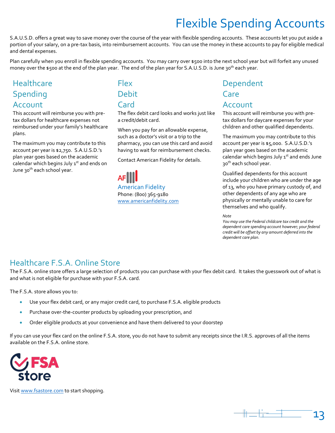## Flexible Spending Accounts

S.A.U.S.D. offers a great way to save money over the course of the year with flexible spending accounts. These accounts let you put aside a portion of your salary, on a pre-tax basis, into reimbursement accounts. You can use the money in these accounts to pay for eligible medical and dental expenses.

Plan carefully when you enroll in flexible spending accounts. You may carry over \$500 into the next school year but will forfeit any unused money over the \$500 at the end of the plan year. The end of the plan year for S.A.U.S.D. is June 30<sup>th</sup> each year.

## **Healthcare** Spending Account

This account will reimburse you with pretax dollars for healthcare expenses not reimbursed under your family's healthcare plans.

The maximum you may contribute to this account per year is \$2,750. S.A.U.S.D.'s plan year goes based on the academic calendar which begins July  $1<sup>st</sup>$  and ends on June 30<sup>th</sup> each school year.

## Flex Debit **Card**

The flex debit card looks and works just like a credit/debit card.

When you pay for an allowable expense, such as a doctor's visit or a trip to the pharmacy, you can use this card and avoid having to wait for reimbursement checks.

Contact American Fidelity for details.

American Fidelity Phone: (800) 365-9180 [www.americanfidelity.com](https://www.americanfidelity.com/)

## Dependent **Care** Account

This account will reimburse you with pretax dollars for daycare expenses for your children and other qualified dependents.

The maximum you may contribute to this account per year is \$5,000. S.A.U.S.D.'s plan year goes based on the academic calendar which begins July  $1<sup>st</sup>$  and ends June 30<sup>th</sup> each school year.

Qualified dependents for this account include your children who are under the age of 13, who you have primary custody of, and other dependents of any age who are physically or mentally unable to care for themselves and who qualify.

*Note*

*You may use the Federal childcare tax credit and the dependent care spending account however; your federal credit will be offset by any amount deferred into the dependent care plan.*

## Healthcare F.S.A. Online Store

The F.S.A. online store offers a large selection of products you can purchase with your flex debit card. It takes the guesswork out of what is and what is not eligible for purchase with your F.S.A. card.

The F.S.A. store allows you to:

- Use your flex debit card, or any major credit card, to purchase F.S.A. eligible products
- Purchase over-the-counter products by uploading your prescription, and
- Order eligible products at your convenience and have them delivered to your doorstep

If you can use your flex card on the online F.S.A. store, you do not have to submit any receipts since the I.R.S. approves of all the items available on the F.S.A. online store.



Visi[t www.fsastore.com](https://www.fsastore.com/) to start shopping.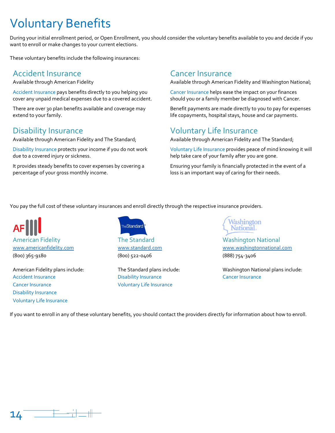## Voluntary Benefits

During your initial enrollment period, or Open Enrollment, you should consider the voluntary benefits available to you and decide if you want to enroll or make changes to your current elections.

These voluntary benefits include the following insurances:

## Accident Insurance Cancer Insurance

Available through American Fidelity

Accident Insurance pays benefits directly to you helping you cover any unpaid medical expenses due to a covered accident.

There are over 30 plan benefits available and coverage may extend to your family.

Available through American Fidelity and The Standard;

Disability Insurance protects your income if you do not work due to a covered injury or sickness.

It provides steady benefits to cover expenses by covering a percentage of your gross monthly income.

<span id="page-15-0"></span>Available through American Fidelity and Washington National;

Cancer Insurance helps ease the impact on your finances should you or a family member be diagnosed with Cancer.

Benefit payments are made directly to you to pay for expenses life copayments, hospital stays, house and car payments.

## Disability Insurance Voluntary Life Insurance

Available through American Fidelity and The Standard;

Voluntary Life Insurance provides peace of mind knowing it will help take care of your family after you are gone.

Ensuring your family is financially protected in the event of a loss is an important way of caring for their needs.

You pay the full cost of these voluntary insurances and enroll directly through the respective insurance providers.

American Fidelity **American Fidelity The Standard** Mashington National

Accident Insurance **Cancer Insurance Disability Insurance Cancer Insurance** Cancer Insurance Cancer Insurance **Voluntary Life Insurance** Disability Insurance Voluntary Life Insurance



(800) 365-9180 (800) 522-0406 (888) 754-3406



[www.americanfidelity.com](https://www.americanfidelity.com/) [www.standard.com](https://www.standard.com/) [www.washingtonnational.com](https://www.washingtonnational.com/)

American Fidelity plans include: The Standard plans include: Washington National plans include:

<span id="page-15-1"></span>If you want to enroll in any of these voluntary benefits, you should contact the providers directly for information about how to enroll.

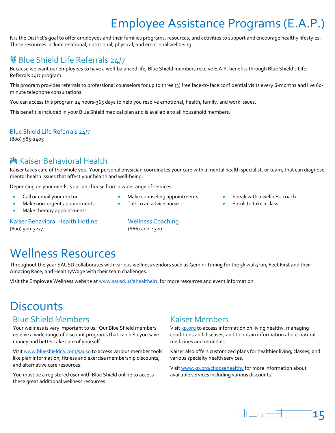## Employee Assistance Programs (E.A.P.)

It is the District's goal to offer employees and their families programs, resources, and activities to support and encourage healthy lifestyles. These resources include relational, nutritional, physical, and emotional wellbeing.

## **Blue Shield Life Referrals 24/7**

Because we want our employees to have a well-balanced life, Blue Shield members receive E.A.P. benefits through Blue Shield's Life Referrals 24/7 program.

This program provides referrals to professional counselors for up to three (3) free face-to-face confidential visits every 6-months and live 60 minute telephone consultations.

You can access this program 24 hours-365 days to help you resolve emotional, health, family, and work issues.

This benefit is included in your Blue Shield medical plan and is available to all household members.

## Blue Shield Life Referrals 24/7

(800) 985-2405

## **鳞 Kaiser Behavioral Health**

Kaiser takes care of the whole you. Your personal physician coordinates your care with a mental health specialist, or team, that can diagnose mental health issues that affect your health and well-being.

Make counseling appointments

Depending on your needs, you can choose from a wide range of services:

- Call or email your doctor
- Make non-urgent appointments
- Make therapy appointments

Kaiser Behavioral Health Hotline Wellness Coaching (800) 900-3277 (866) 402-4320

<span id="page-16-0"></span>

Talk to an advice nurse

## Wellness Resources

Throughout the year SAUSD collaborates with various wellness vendors such as Gemini Timing for the 5k walk/run, Feet First and their Amazing Race, and HealthyWage with their team challenges.

Visit the Employee Wellness website at [www.sausd.us/ahealtheiru](https://www.sausd.us/ahealtheiru) for more resources and event information.

## **Discounts**

## **Blue Shield Members Equipment Construction Construction**

Your wellness is very important to us. Our Blue Shield members receive a wide range of discount programs that can help you save money and better take care of yourself.

Visi[t www.blueshieldca.com/sausd](https://www.blueshieldca.com/sausd) to access various member tools like plan information, fitness and exercise membership discounts, and alternative care resources.

You must be a registered user with Blue Shield online to access these great additional wellness resources.

Visi[t kp.org](https://kp.org/) to access information on living healthy, managing conditions and diseases, and to obtain information about natural medicines and remedies.

Kaiser also offers customized plans for healthier living, classes, and various specialty health services.

Visi[t www.kp.org/choosehealthy](https://www.kp.org/choosehealthy) for more information about available services including various discounts.



• Enroll to take a class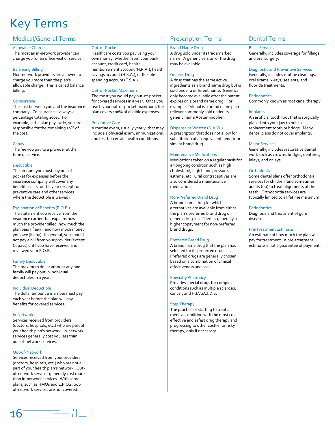## Key Terms

### Medical/General Terms **Prescription Terms** Prescription Terms Dental Terms

#### Allowable Charge

The most an in-network provider can charge you for an office visit or service.

#### Balancing Billing

Non-network providers are allowed to charge you more than the plan's allowable charge. This is called balance billing.

#### Coinsurance

The cost between you and the insurance company. Coinsurance is always a percentage totaling 100%. For example, if the plan pays 70%, you are responsible for the remaining 30% of the cost.

#### Copay

The fee you pay to a provider at the time of service.

#### Deductible

The amount you must pay out-ofpocket for expenses before the insurance company will cover any benefits costs for the year (except for preventive care and other services where the deductible is waived).

#### Explanation of Benefits (E.O.B.)

The statement you receive from the insurance carrier that explains how much the provider billed, how much the plan paid (if any), and how much money you owe (if any). In general, you should not pay a bill from your provider (except Copays) until you have received and reviewed your E.O.B.

#### Family Deductible

The maximum dollar amount any one family will pay out in individual deductibles in a year.

#### Individual Deductible

The dollar amount a member must pay each year before the plan will pay benefits for covered services.

#### In-Network

Services received from providers (doctors, hospitals, etc.) who are part of your health plan's network. In-network services generally cost you less than out-of-network services.

#### Out-of-Network

Services received from your providers (doctors, hospitals, etc.) who are not a part of your health plan's network. Outof-network services generally cost more than in-network services. With some plans, such as HMOs and E.P.O.s, outof-network services are not covered.

#### <span id="page-17-0"></span>Out-of-Pocket

Healthcare costs you pay using your own money, whether from your bank account, credit card, health reimbursement account (H.R.A.), health savings account (H.S.A.), or flexible spending account (F.S.A.).

#### Out-of-Pocket Maximum

The most you would pay out-of-pocket for covered services in a year. Once you reach your out-of-pocket maximum, the plan covers 100% of eligible expenses.

#### Preventive Care

A routine exam, usually yearly, that may include a physical exam, immunizations, and test for certain health conditions.

#### Brand Name Drug

A drug sold under its trademarked name. A generic version of the drug may be available.

#### Generic Drug

A drug that has the same active ingredients as a brand name drug but is sold under a different name. Generics only become available after the patent expires on a brand name drug. For example, Tylenol is a brand name pain reliever commonly sold under its generic name Acetaminophen.

#### Dispense as Written (D.A.W.)

A prescription that does not allow for substitution of an equivalent generic or similar brand drug.

#### Maintenance Medications

Medications taken on a regular basis for an ongoing condition such as high cholesterol, high blood pressure, asthma, etc. Oral contraceptives are also considered a maintenance medication.

#### Non-Preferred Brand Drug

A brand name drug for which alternatives are available from either the plan's preferred brand drug or generic drug list. There is generally a higher copayment for non-preferred brand drugs.

#### Preferred Brand Drug

A brand name drug that the plan has selected for its preferred drug list. Preferred drugs are generally chosen based on a combination of clinical effectiveness and cost.

#### Specialty Pharmacy

Provides special drugs for complex conditions such as multiple sclerosis, cancer, and H.I.V./A.I.D.S.

#### Step Therapy

The practice of starting to treat a medical condition with the most cost effective and safest drug therapy and progressing to other costlier or risky therapy, only if necessary.

#### Basic Services

Generally, includes coverage for fillings and oral surgery.

#### Diagnostic and Preventive Services

Generally, includes routine cleanings, oral exams, x-rays, sealants, and fluoride treatments.

#### **Endodontics**

Commonly known as root canal therapy.

#### Implants

An artificial tooth root that is surgically placed into your jaw to hold a replacement tooth or bridge. Many dental plans do not cover implants.

#### Major Services

Generally, includes restorative dental work such as crowns, bridges, dentures, inlays, and onlays.

#### **Orthodontia**

Some dental plans offer orthodontia services for children (and sometimes adults too) to treat alignments of the teeth. Orthodontia services are typically limited to a lifetime maximum.

#### Periodontics

Diagnosis and treatment of gum disease.

#### Pre-Treatment Estimate

An estimate of how much the plan will pay for treatment. A pre-treatment estimate is not a guarantee of payment.

<span id="page-17-1"></span>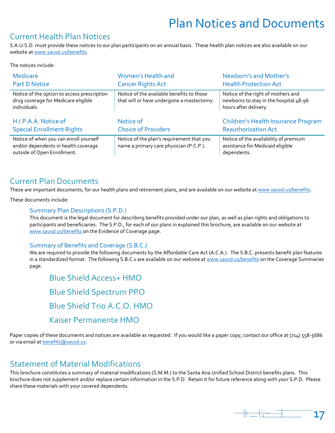## Plan Notices and Documents

## Current Health Plan Notices

S.A.U.S.D. must provide these notices to our plan participants on an annual basis. These health plan notices are also available on our website a[t www.sausd.us/benefits.](https://www.sausd.us/benefits)

The notices include:

| <b>Medicare</b>                                                                                               | Women's Health and                                                                     | Newborn's and Mother's                                                                                |
|---------------------------------------------------------------------------------------------------------------|----------------------------------------------------------------------------------------|-------------------------------------------------------------------------------------------------------|
| <b>Part D Notice</b>                                                                                          | <b>Cancer Rights Act</b>                                                               | <b>Health Protection Act</b>                                                                          |
| Notice of the option to access prescription<br>drug coverage for Medicare eligible<br>individuals.            | Notice of the available benefits to those<br>that will or have undergone a mastectomy. | Notice of the right of mothers and<br>newborns to stay in the hospital 48-96<br>hours after delivery. |
| H.I.P.A.A. Notice of                                                                                          | Notice of                                                                              | Children's Health Insurance Program                                                                   |
| <b>Special Enrollment Rights</b>                                                                              | <b>Choice of Providers</b>                                                             | <b>Reauthorization Act</b>                                                                            |
| Notice of when you can enroll yourself<br>and/or dependents in health coverage<br>outside of Open Enrollment. | Notice of the plan's requirement that you<br>name a primary care physician (P.C.P.).   | Notice of the availability of premium<br>assistance for Medicaid eligible<br>dependents.              |

## Current Plan Documents

These are important documents, for our health plans and retirement plans, and are available on our website a[t www.sausd.us/benefits.](https://www.sausd.us/benefits)

These documents include:

### Summary Plan Descriptions (S.P.D.)

This document is the legal document for describing benefits provided under our plan, as well as plan rights and obligations to participants and beneficiaries. The S.P.D., for each of our plans in explained this brochure, are available on our website at [www.sausd.us/benefits](https://www.sausd.us/benefits) on the Evidence of Coverage page.

## Summary of Benefits and Coverage (S.B.C.)

We are required to provide the following documents by the Affordable Care Act (A.C.A.). The S.B.C. presents benefit plan features in a standardized format. The following S.B.C.s are available on our website at [www.sausd.us/benefits](https://www.sausd.us/benefits) on the Coverage Summaries page.

Blue Shield Access+ HMO Blue Shield Spectrum PPO Blue Shield Trio A.C.O. HMO Kaiser Permanente HMO

Paper copies of these documents and notices are available as requested. If you would like a paper copy, contact our office at (714) 558-5686 or via email at [benefits@sausd.us.](mailto:benefits@sausd.us)

## Statement of Material Modifications

This brochure constitutes a summary of material modifications (S.M.M.) to the Santa Ana Unified School District benefits plans. This brochure does not supplement and/or replace certain information in the S.P.D. Retain it for future reference along with your S.P.D. Please share these materials with your covered dependents.